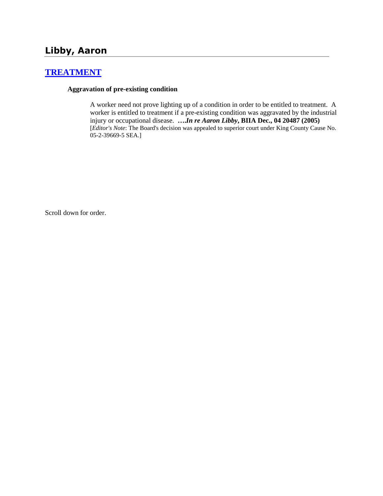# **[TREATMENT](http://www.biia.wa.gov/SDSubjectIndex.html#TREATMENT)**

### **Aggravation of pre-existing condition**

A worker need not prove lighting up of a condition in order to be entitled to treatment. A worker is entitled to treatment if a pre-existing condition was aggravated by the industrial injury or occupational disease. **….***In re Aaron Libby***, BIIA Dec., 04 20487 (2005)**  [*Editor's Note*: The Board's decision was appealed to superior court under King County Cause No. 05-2-39669-5 SEA.]

Scroll down for order.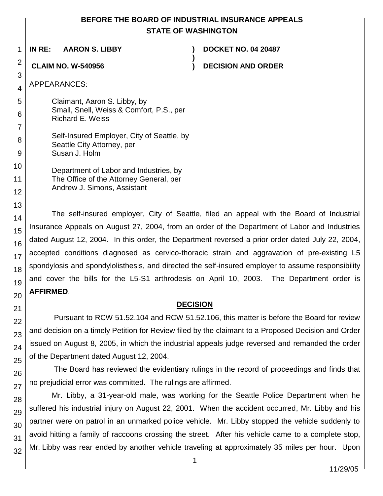# **BEFORE THE BOARD OF INDUSTRIAL INSURANCE APPEALS STATE OF WASHINGTON**

**)**

1 **IN RE: AARON S. LIBBY ) DOCKET NO. 04 20487**

**CLAIM NO. W-540956 ) DECISION AND ORDER**

APPEARANCES:

Claimant, Aaron S. Libby, by Small, Snell, Weiss & Comfort, P.S., per Richard E. Weiss

Self-Insured Employer, City of Seattle, by Seattle City Attorney, per Susan J. Holm

Department of Labor and Industries, by The Office of the Attorney General, per Andrew J. Simons, Assistant

The self-insured employer, City of Seattle, filed an appeal with the Board of Industrial Insurance Appeals on August 27, 2004, from an order of the Department of Labor and Industries dated August 12, 2004. In this order, the Department reversed a prior order dated July 22, 2004, accepted conditions diagnosed as cervico-thoracic strain and aggravation of pre-existing L5 spondylosis and spondylolisthesis, and directed the self-insured employer to assume responsibility and cover the bills for the L5-S1 arthrodesis on April 10, 2003. The Department order is **AFFIRMED**.

## **DECISION**

Pursuant to RCW 51.52.104 and RCW 51.52.106, this matter is before the Board for review and decision on a timely Petition for Review filed by the claimant to a Proposed Decision and Order issued on August 8, 2005, in which the industrial appeals judge reversed and remanded the order of the Department dated August 12, 2004.

The Board has reviewed the evidentiary rulings in the record of proceedings and finds that no prejudicial error was committed. The rulings are affirmed.

Mr. Libby, a 31-year-old male, was working for the Seattle Police Department when he suffered his industrial injury on August 22, 2001. When the accident occurred, Mr. Libby and his partner were on patrol in an unmarked police vehicle. Mr. Libby stopped the vehicle suddenly to avoid hitting a family of raccoons crossing the street. After his vehicle came to a complete stop, Mr. Libby was rear ended by another vehicle traveling at approximately 35 miles per hour. Upon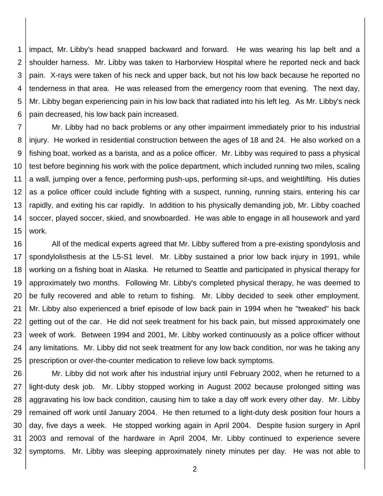1 2 3 4 5 6 impact, Mr. Libby's head snapped backward and forward. He was wearing his lap belt and a shoulder harness. Mr. Libby was taken to Harborview Hospital where he reported neck and back pain. X-rays were taken of his neck and upper back, but not his low back because he reported no tenderness in that area. He was released from the emergency room that evening. The next day, Mr. Libby began experiencing pain in his low back that radiated into his left leg. As Mr. Libby's neck pain decreased, his low back pain increased.

7 8 9 10 11 12 13 14 15 Mr. Libby had no back problems or any other impairment immediately prior to his industrial injury. He worked in residential construction between the ages of 18 and 24. He also worked on a fishing boat, worked as a barista, and as a police officer. Mr. Libby was required to pass a physical test before beginning his work with the police department, which included running two miles, scaling a wall, jumping over a fence, performing push-ups, performing sit-ups, and weightlifting. His duties as a police officer could include fighting with a suspect, running, running stairs, entering his car rapidly, and exiting his car rapidly. In addition to his physically demanding job, Mr. Libby coached soccer, played soccer, skied, and snowboarded. He was able to engage in all housework and yard work.

16 17 18 19 20 21 22 23 24 25 All of the medical experts agreed that Mr. Libby suffered from a pre-existing spondylosis and spondylolisthesis at the L5-S1 level. Mr. Libby sustained a prior low back injury in 1991, while working on a fishing boat in Alaska. He returned to Seattle and participated in physical therapy for approximately two months. Following Mr. Libby's completed physical therapy, he was deemed to be fully recovered and able to return to fishing. Mr. Libby decided to seek other employment. Mr. Libby also experienced a brief episode of low back pain in 1994 when he "tweaked" his back getting out of the car. He did not seek treatment for his back pain, but missed approximately one week of work. Between 1994 and 2001, Mr. Libby worked continuously as a police officer without any limitations. Mr. Libby did not seek treatment for any low back condition, nor was he taking any prescription or over-the-counter medication to relieve low back symptoms.

26 27 28 29 30 31 32 Mr. Libby did not work after his industrial injury until February 2002, when he returned to a light-duty desk job. Mr. Libby stopped working in August 2002 because prolonged sitting was aggravating his low back condition, causing him to take a day off work every other day. Mr. Libby remained off work until January 2004. He then returned to a light-duty desk position four hours a day, five days a week. He stopped working again in April 2004. Despite fusion surgery in April 2003 and removal of the hardware in April 2004, Mr. Libby continued to experience severe symptoms. Mr. Libby was sleeping approximately ninety minutes per day. He was not able to

2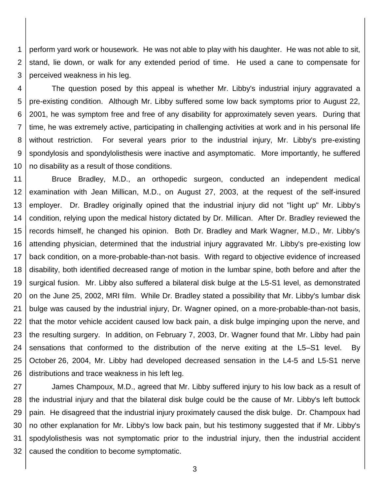1 2 3 perform yard work or housework. He was not able to play with his daughter. He was not able to sit, stand, lie down, or walk for any extended period of time. He used a cane to compensate for perceived weakness in his leg.

4 5 6 7 8 9 10 The question posed by this appeal is whether Mr. Libby's industrial injury aggravated a pre-existing condition. Although Mr. Libby suffered some low back symptoms prior to August 22, 2001, he was symptom free and free of any disability for approximately seven years. During that time, he was extremely active, participating in challenging activities at work and in his personal life without restriction. For several years prior to the industrial injury, Mr. Libby's pre-existing spondylosis and spondylolisthesis were inactive and asymptomatic. More importantly, he suffered no disability as a result of those conditions.

11 12 13 14 15 16 17 18 19 20 21 22 23 24 25 26 Bruce Bradley, M.D., an orthopedic surgeon, conducted an independent medical examination with Jean Millican, M.D., on August 27, 2003, at the request of the self-insured employer. Dr. Bradley originally opined that the industrial injury did not "light up" Mr. Libby's condition, relying upon the medical history dictated by Dr. Millican. After Dr. Bradley reviewed the records himself, he changed his opinion. Both Dr. Bradley and Mark Wagner, M.D., Mr. Libby's attending physician, determined that the industrial injury aggravated Mr. Libby's pre-existing low back condition, on a more-probable-than-not basis. With regard to objective evidence of increased disability, both identified decreased range of motion in the lumbar spine, both before and after the surgical fusion. Mr. Libby also suffered a bilateral disk bulge at the L5-S1 level, as demonstrated on the June 25, 2002, MRI film. While Dr. Bradley stated a possibility that Mr. Libby's lumbar disk bulge was caused by the industrial injury, Dr. Wagner opined, on a more-probable-than-not basis, that the motor vehicle accident caused low back pain, a disk bulge impinging upon the nerve, and the resulting surgery. In addition, on February 7, 2003, Dr. Wagner found that Mr. Libby had pain sensations that conformed to the distribution of the nerve exiting at the L5–S1 level. By October 26, 2004, Mr. Libby had developed decreased sensation in the L4-5 and L5-S1 nerve distributions and trace weakness in his left leg.

27 28 29 30 31 32 James Champoux, M.D., agreed that Mr. Libby suffered injury to his low back as a result of the industrial injury and that the bilateral disk bulge could be the cause of Mr. Libby's left buttock pain. He disagreed that the industrial injury proximately caused the disk bulge. Dr. Champoux had no other explanation for Mr. Libby's low back pain, but his testimony suggested that if Mr. Libby's spodylolisthesis was not symptomatic prior to the industrial injury, then the industrial accident caused the condition to become symptomatic.

3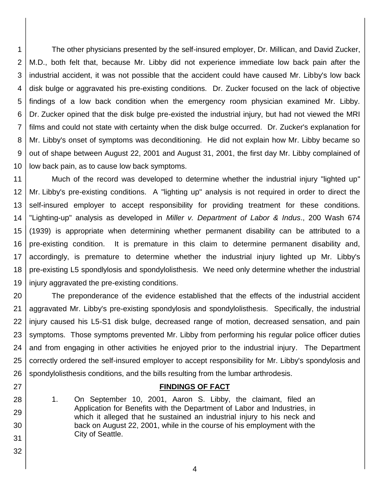1 2 3 4 5 6 7 8 9 10 The other physicians presented by the self-insured employer, Dr. Millican, and David Zucker, M.D., both felt that, because Mr. Libby did not experience immediate low back pain after the industrial accident, it was not possible that the accident could have caused Mr. Libby's low back disk bulge or aggravated his pre-existing conditions. Dr. Zucker focused on the lack of objective findings of a low back condition when the emergency room physician examined Mr. Libby. Dr. Zucker opined that the disk bulge pre-existed the industrial injury, but had not viewed the MRI films and could not state with certainty when the disk bulge occurred. Dr. Zucker's explanation for Mr. Libby's onset of symptoms was deconditioning. He did not explain how Mr. Libby became so out of shape between August 22, 2001 and August 31, 2001, the first day Mr. Libby complained of low back pain, as to cause low back symptoms.

11 12 13 14 15 16 17 18 19 Much of the record was developed to determine whether the industrial injury "lighted up" Mr. Libby's pre-existing conditions. A "lighting up" analysis is not required in order to direct the self-insured employer to accept responsibility for providing treatment for these conditions. "Lighting-up" analysis as developed in *Miller v. Department of Labor & Indus*., 200 Wash 674 (1939) is appropriate when determining whether permanent disability can be attributed to a pre-existing condition. It is premature in this claim to determine permanent disability and, accordingly, is premature to determine whether the industrial injury lighted up Mr. Libby's pre-existing L5 spondlylosis and spondylolisthesis. We need only determine whether the industrial injury aggravated the pre-existing conditions.

20 21 22 23 24 25 26 The preponderance of the evidence established that the effects of the industrial accident aggravated Mr. Libby's pre-existing spondylosis and spondylolisthesis. Specifically, the industrial injury caused his L5-S1 disk bulge, decreased range of motion, decreased sensation, and pain symptoms. Those symptoms prevented Mr. Libby from performing his regular police officer duties and from engaging in other activities he enjoyed prior to the industrial injury. The Department correctly ordered the self-insured employer to accept responsibility for Mr. Libby's spondylosis and spondylolisthesis conditions, and the bills resulting from the lumbar arthrodesis.

### **FINDINGS OF FACT**

- 1. On September 10, 2001, Aaron S. Libby, the claimant, filed an Application for Benefits with the Department of Labor and Industries, in which it alleged that he sustained an industrial injury to his neck and back on August 22, 2001, while in the course of his employment with the City of Seattle.
- 31 32

27

28

29

30

4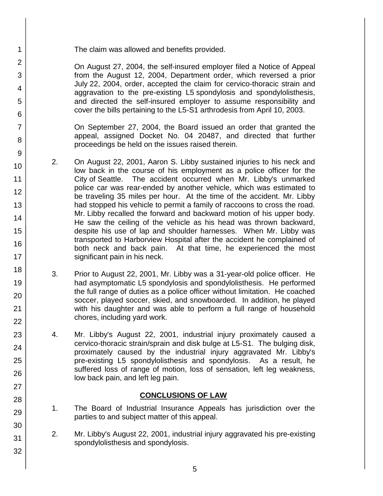32

The claim was allowed and benefits provided.

On August 27, 2004, the self-insured employer filed a Notice of Appeal from the August 12, 2004, Department order, which reversed a prior July 22, 2004, order, accepted the claim for cervico-thoracic strain and aggravation to the pre-existing L5 spondylosis and spondylolisthesis, and directed the self-insured employer to assume responsibility and cover the bills pertaining to the L5-S1 arthrodesis from April 10, 2003.

On September 27, 2004, the Board issued an order that granted the appeal, assigned Docket No. 04 20487, and directed that further proceedings be held on the issues raised therein.

- 2. On August 22, 2001, Aaron S. Libby sustained injuries to his neck and low back in the course of his employment as a police officer for the City of Seattle. The accident occurred when Mr. Libby's unmarked police car was rear-ended by another vehicle, which was estimated to be traveling 35 miles per hour. At the time of the accident. Mr. Libby had stopped his vehicle to permit a family of raccoons to cross the road. Mr. Libby recalled the forward and backward motion of his upper body. He saw the ceiling of the vehicle as his head was thrown backward, despite his use of lap and shoulder harnesses. When Mr. Libby was transported to Harborview Hospital after the accident he complained of both neck and back pain. At that time, he experienced the most significant pain in his neck.
- 3. Prior to August 22, 2001, Mr. Libby was a 31-year-old police officer. He had asymptomatic L5 spondylosis and spondylolisthesis. He performed the full range of duties as a police officer without limitation. He coached soccer, played soccer, skied, and snowboarded. In addition, he played with his daughter and was able to perform a full range of household chores, including yard work.
- 4. Mr. Libby's August 22, 2001, industrial injury proximately caused a cervico-thoracic strain/sprain and disk bulge at L5-S1. The bulging disk, proximately caused by the industrial injury aggravated Mr. Libby's pre-existing L5 spondylolisthesis and spondylosis. As a result, he suffered loss of range of motion, loss of sensation, left leg weakness, low back pain, and left leg pain.

# **CONCLUSIONS OF LAW**

- 1. The Board of Industrial Insurance Appeals has jurisdiction over the parties to and subject matter of this appeal.
- 2. Mr. Libby's August 22, 2001, industrial injury aggravated his pre-existing spondylolisthesis and spondylosis.